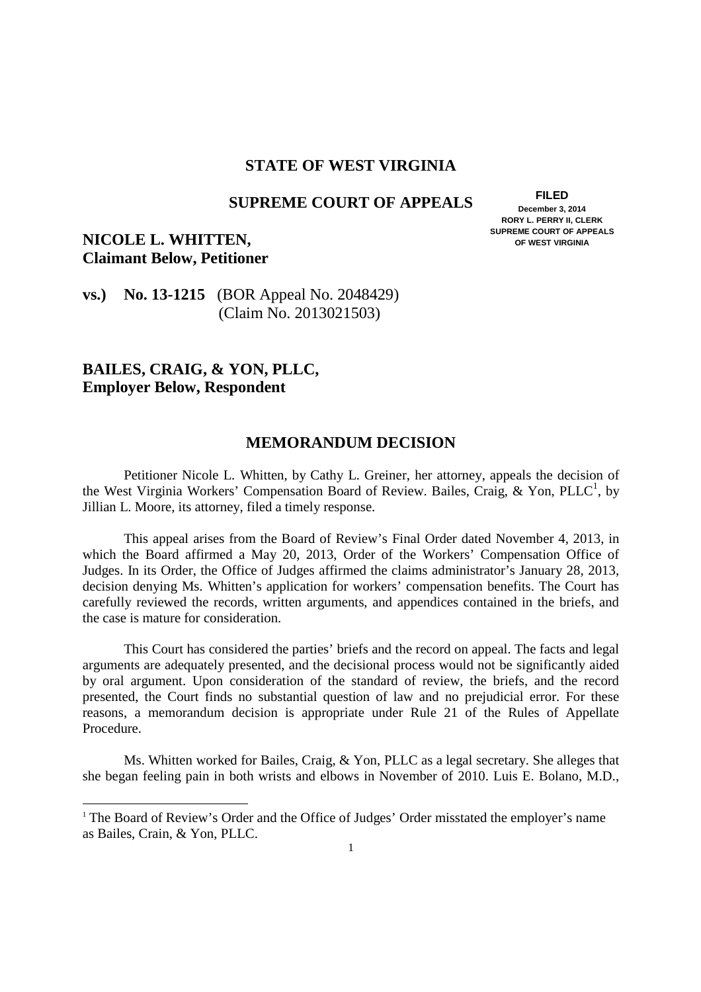### **STATE OF WEST VIRGINIA**

# **SUPREME COURT OF APPEALS FILED**

 **December 3, 2014** 

 **RORY L. PERRY II, CLERK SUPREME COURT OF APPEALS OF WEST VIRGINIA** 

## **NICOLE L. WHITTEN,** SUPREME COURT OF APPEALS **SUPREME COURT OF APPEALS Claimant Below, Petitioner**

### **vs.)** No. 13-1215 (BOR Appeal No. 2048429) (Claim No. 2013021503)

### **BAILES, CRAIG, & YON, PLLC, Employer Below, Respondent**

-

### **MEMORANDUM DECISION**

 Petitioner Nicole L. Whitten, by Cathy L. Greiner, her attorney, appeals the decision of the West Virginia Workers' Compensation Board of Review. Bailes, Craig, & Yon, PLLC<sup>1</sup>, by Jillian L. Moore, its attorney, filed a timely response.

 This appeal arises from the Board of Review's Final Order dated November 4, 2013, in which the Board affirmed a May 20, 2013, Order of the Workers' Compensation Office of Judges. In its Order, the Office of Judges affirmed the claims administrator's January 28, 2013, decision denying Ms. Whitten's application for workers' compensation benefits. The Court has carefully reviewed the records, written arguments, and appendices contained in the briefs, and the case is mature for consideration.

 arguments are adequately presented, and the decisional process would not be significantly aided by oral argument. Upon consideration of the standard of review, the briefs, and the record presented, the Court finds no substantial question of law and no prejudicial error. For these reasons, a memorandum decision is appropriate under Rule 21 of the Rules of Appellate Procedure. This Court has considered the parties' briefs and the record on appeal. The facts and legal

Procedure.<br>Ms. Whitten worked for Bailes, Craig, & Yon, PLLC as a legal secretary. She alleges that she began feeling pain in both wrists and elbows in November of 2010. Luis E. Bolano, M.D.,

<sup>&</sup>lt;sup>1</sup> The Board of Review's Order and the Office of Judges' Order misstated the employer's name as Bailes, Crain, & Yon, PLLC.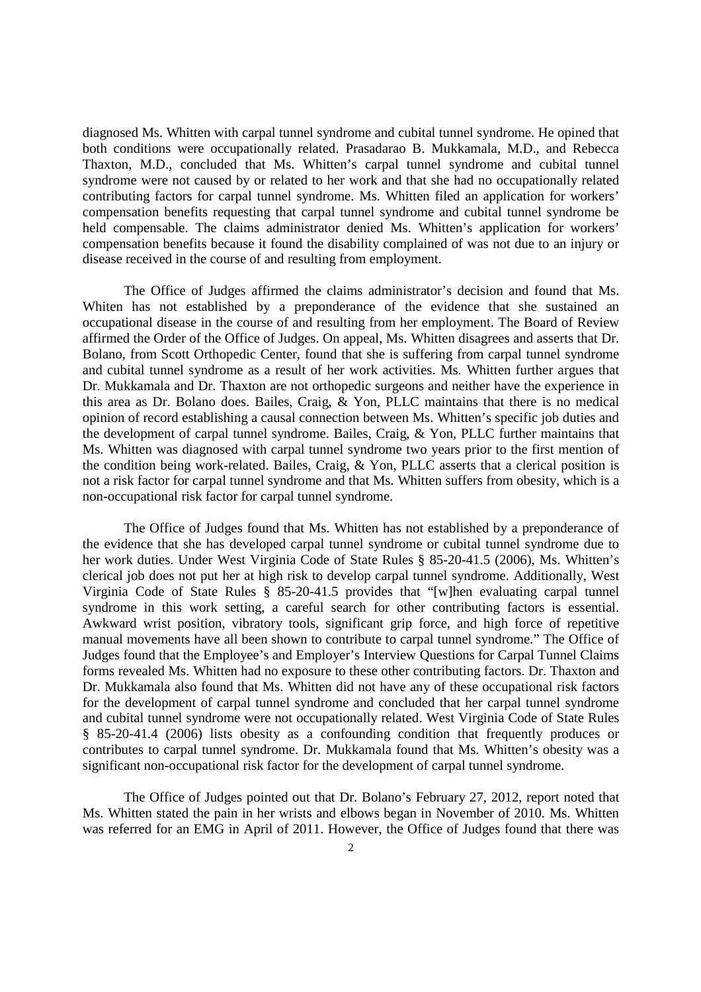diagnosed Ms. Whitten with carpal tunnel syndrome and cubital tunnel syndrome. He opined that both conditions were occupationally related. Prasadarao B. Mukkamala, M.D., and Rebecca Thaxton, M.D., concluded that Ms. Whitten's carpal tunnel syndrome and cubital tunnel syndrome were not caused by or related to her work and that she had no occupationally related contributing factors for carpal tunnel syndrome. Ms. Whitten filed an application for workers' compensation benefits requesting that carpal tunnel syndrome and cubital tunnel syndrome be held compensable. The claims administrator denied Ms. Whitten's application for workers' compensation benefits because it found the disability complained of was not due to an injury or disease received in the course of and resulting from employment.

 The Office of Judges affirmed the claims administrator's decision and found that Ms. Whiten has not established by a preponderance of the evidence that she sustained an occupational disease in the course of and resulting from her employment. The Board of Review affirmed the Order of the Office of Judges. On appeal, Ms. Whitten disagrees and asserts that Dr. Bolano, from Scott Orthopedic Center, found that she is suffering from carpal tunnel syndrome and cubital tunnel syndrome as a result of her work activities. Ms. Whitten further argues that Dr. Mukkamala and Dr. Thaxton are not orthopedic surgeons and neither have the experience in this area as Dr. Bolano does. Bailes, Craig, & Yon, PLLC maintains that there is no medical opinion of record establishing a causal connection between Ms. Whitten's specific job duties and the development of carpal tunnel syndrome. Bailes, Craig, & Yon, PLLC further maintains that Ms. Whitten was diagnosed with carpal tunnel syndrome two years prior to the first mention of the condition being work-related. Bailes, Craig, & Yon, PLLC asserts that a clerical position is not a risk factor for carpal tunnel syndrome and that Ms. Whitten suffers from obesity, which is a non-occupational risk factor for carpal tunnel syndrome.

 The Office of Judges found that Ms. Whitten has not established by a preponderance of the evidence that she has developed carpal tunnel syndrome or cubital tunnel syndrome due to her work duties. Under West Virginia Code of State Rules § 85-20-41.5 (2006), Ms. Whitten's clerical job does not put her at high risk to develop carpal tunnel syndrome. Additionally, West Virginia Code of State Rules § 85-20-41.5 provides that "[w]hen evaluating carpal tunnel syndrome in this work setting, a careful search for other contributing factors is essential. Awkward wrist position, vibratory tools, significant grip force, and high force of repetitive manual movements have all been shown to contribute to carpal tunnel syndrome." The Office of Judges found that the Employee's and Employer's Interview Questions for Carpal Tunnel Claims forms revealed Ms. Whitten had no exposure to these other contributing factors. Dr. Thaxton and Dr. Mukkamala also found that Ms. Whitten did not have any of these occupational risk factors for the development of carpal tunnel syndrome and concluded that her carpal tunnel syndrome and cubital tunnel syndrome were not occupationally related. West Virginia Code of State Rules § 85-20-41.4 (2006) lists obesity as a confounding condition that frequently produces or contributes to carpal tunnel syndrome. Dr. Mukkamala found that Ms. Whitten's obesity was a significant non-occupational risk factor for the development of carpal tunnel syndrome.

 The Office of Judges pointed out that Dr. Bolano's February 27, 2012, report noted that Ms. Whitten stated the pain in her wrists and elbows began in November of 2010. Ms. Whitten was referred for an EMG in April of 2011. However, the Office of Judges found that there was